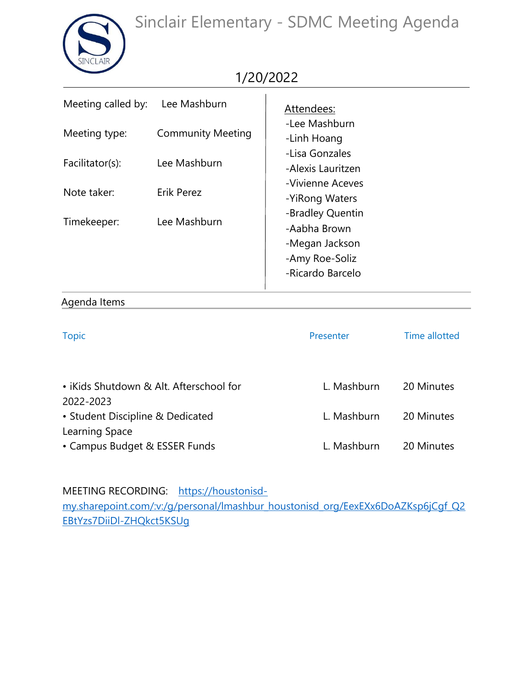Sinclair Elementary - SDMC Meeting Agenda



## 1/20/2022

| Meeting called by: | Lee Mashburn             | Attendees:                                                                               |
|--------------------|--------------------------|------------------------------------------------------------------------------------------|
| Meeting type:      | <b>Community Meeting</b> | -Lee Mashburn<br>-Linh Hoang<br>-Lisa Gonzales                                           |
| Facilitator(s):    | Lee Mashburn             | -Alexis Lauritzen                                                                        |
| Note taker:        | <b>Erik Perez</b>        | -Vivienne Aceves<br>-YiRong Waters                                                       |
| Timekeeper:        | Lee Mashburn             | -Bradley Quentin<br>-Aabha Brown<br>-Megan Jackson<br>-Amy Roe-Soliz<br>-Ricardo Barcelo |

## Agenda Items

| <b>Topic</b>                                         | Presenter   | <b>Time allotted</b> |
|------------------------------------------------------|-------------|----------------------|
|                                                      |             |                      |
| • iKids Shutdown & Alt. Afterschool for<br>2022-2023 | L. Mashburn | 20 Minutes           |
| • Student Discipline & Dedicated<br>Learning Space   | L. Mashburn | 20 Minutes           |
| • Campus Budget & ESSER Funds                        | L. Mashburn | 20 Minutes           |

MEETING RECORDING[:](https://web.microsoftstream.com/video/870132f0-15e5-41a1-a0b3-8fe9b41c1c5a) [https://houstonisd-](https://houstonisd-my.sharepoint.com/:v:/g/personal/lmashbur_houstonisd_org/EexEXx6DoAZKsp6jCgf_Q2EBtYzs7DiiDl-ZHQkct5KSUg)

[my.sharepoint.com/:v:/g/personal/lmashbur\\_houstonisd\\_org/EexEXx6DoAZKsp6jCgf\\_Q2](https://houstonisd-my.sharepoint.com/:v:/g/personal/lmashbur_houstonisd_org/EexEXx6DoAZKsp6jCgf_Q2EBtYzs7DiiDl-ZHQkct5KSUg) [EBtYzs7DiiDl-ZHQkct5KSUg](https://houstonisd-my.sharepoint.com/:v:/g/personal/lmashbur_houstonisd_org/EexEXx6DoAZKsp6jCgf_Q2EBtYzs7DiiDl-ZHQkct5KSUg)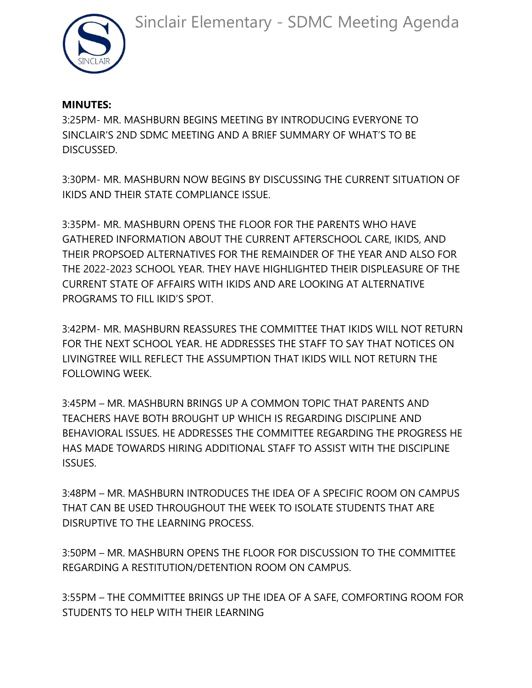

## **MINUTES:**

3:25PM- MR. MASHBURN BEGINS MEETING BY INTRODUCING EVERYONE TO SINCLAIR'S 2ND SDMC MEETING AND A BRIEF SUMMARY OF WHAT'S TO BE DISCUSSED.

3:30PM- MR. MASHBURN NOW BEGINS BY DISCUSSING THE CURRENT SITUATION OF IKIDS AND THEIR STATE COMPLIANCE ISSUE.

3:35PM- MR. MASHBURN OPENS THE FLOOR FOR THE PARENTS WHO HAVE GATHERED INFORMATION ABOUT THE CURRENT AFTERSCHOOL CARE, IKIDS, AND THEIR PROPSOED ALTERNATIVES FOR THE REMAINDER OF THE YEAR AND ALSO FOR THE 2022-2023 SCHOOL YEAR. THEY HAVE HIGHLIGHTED THEIR DISPLEASURE OF THE CURRENT STATE OF AFFAIRS WITH IKIDS AND ARE LOOKING AT ALTERNATIVE PROGRAMS TO FILL IKID'S SPOT.

3:42PM- MR. MASHBURN REASSURES THE COMMITTEE THAT IKIDS WILL NOT RETURN FOR THE NEXT SCHOOL YEAR. HE ADDRESSES THE STAFF TO SAY THAT NOTICES ON LIVINGTREE WILL REFLECT THE ASSUMPTION THAT IKIDS WILL NOT RETURN THE FOLLOWING WEEK.

3:45PM – MR. MASHBURN BRINGS UP A COMMON TOPIC THAT PARENTS AND TEACHERS HAVE BOTH BROUGHT UP WHICH IS REGARDING DISCIPLINE AND BEHAVIORAL ISSUES. HE ADDRESSES THE COMMITTEE REGARDING THE PROGRESS HE HAS MADE TOWARDS HIRING ADDITIONAL STAFF TO ASSIST WITH THE DISCIPLINE ISSUES.

3:48PM – MR. MASHBURN INTRODUCES THE IDEA OF A SPECIFIC ROOM ON CAMPUS THAT CAN BE USED THROUGHOUT THE WEEK TO ISOLATE STUDENTS THAT ARE DISRUPTIVE TO THE LEARNING PROCESS.

3:50PM – MR. MASHBURN OPENS THE FLOOR FOR DISCUSSION TO THE COMMITTEE REGARDING A RESTITUTION/DETENTION ROOM ON CAMPUS.

3:55PM – THE COMMITTEE BRINGS UP THE IDEA OF A SAFE, COMFORTING ROOM FOR STUDENTS TO HELP WITH THEIR LEARNING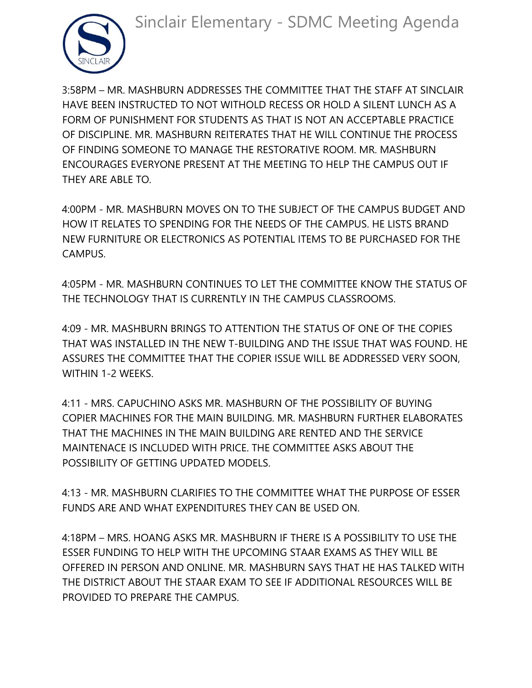Sinclair Elementary - SDMC Meeting Agenda



3:58PM – MR. MASHBURN ADDRESSES THE COMMITTEE THAT THE STAFF AT SINCLAIR HAVE BEEN INSTRUCTED TO NOT WITHOLD RECESS OR HOLD A SILENT LUNCH AS A FORM OF PUNISHMENT FOR STUDENTS AS THAT IS NOT AN ACCEPTABLE PRACTICE OF DISCIPLINE. MR. MASHBURN REITERATES THAT HE WILL CONTINUE THE PROCESS OF FINDING SOMEONE TO MANAGE THE RESTORATIVE ROOM. MR. MASHBURN ENCOURAGES EVERYONE PRESENT AT THE MEETING TO HELP THE CAMPUS OUT IF THEY ARE ABLE TO.

4:00PM - MR. MASHBURN MOVES ON TO THE SUBJECT OF THE CAMPUS BUDGET AND HOW IT RELATES TO SPENDING FOR THE NEEDS OF THE CAMPUS. HE LISTS BRAND NEW FURNITURE OR ELECTRONICS AS POTENTIAL ITEMS TO BE PURCHASED FOR THE CAMPUS.

4:05PM - MR. MASHBURN CONTINUES TO LET THE COMMITTEE KNOW THE STATUS OF THE TECHNOLOGY THAT IS CURRENTLY IN THE CAMPUS CLASSROOMS.

4:09 - MR. MASHBURN BRINGS TO ATTENTION THE STATUS OF ONE OF THE COPIES THAT WAS INSTALLED IN THE NEW T-BUILDING AND THE ISSUE THAT WAS FOUND. HE ASSURES THE COMMITTEE THAT THE COPIER ISSUE WILL BE ADDRESSED VERY SOON, WITHIN 1-2 WEEKS.

4:11 - MRS. CAPUCHINO ASKS MR. MASHBURN OF THE POSSIBILITY OF BUYING COPIER MACHINES FOR THE MAIN BUILDING. MR. MASHBURN FURTHER ELABORATES THAT THE MACHINES IN THE MAIN BUILDING ARE RENTED AND THE SERVICE MAINTENACE IS INCLUDED WITH PRICE. THE COMMITTEE ASKS ABOUT THE POSSIBILITY OF GETTING UPDATED MODELS.

4:13 - MR. MASHBURN CLARIFIES TO THE COMMITTEE WHAT THE PURPOSE OF ESSER FUNDS ARE AND WHAT EXPENDITURES THEY CAN BE USED ON.

4:18PM – MRS. HOANG ASKS MR. MASHBURN IF THERE IS A POSSIBILITY TO USE THE ESSER FUNDING TO HELP WITH THE UPCOMING STAAR EXAMS AS THEY WILL BE OFFERED IN PERSON AND ONLINE. MR. MASHBURN SAYS THAT HE HAS TALKED WITH THE DISTRICT ABOUT THE STAAR EXAM TO SEE IF ADDITIONAL RESOURCES WILL BE PROVIDED TO PREPARE THE CAMPUS.